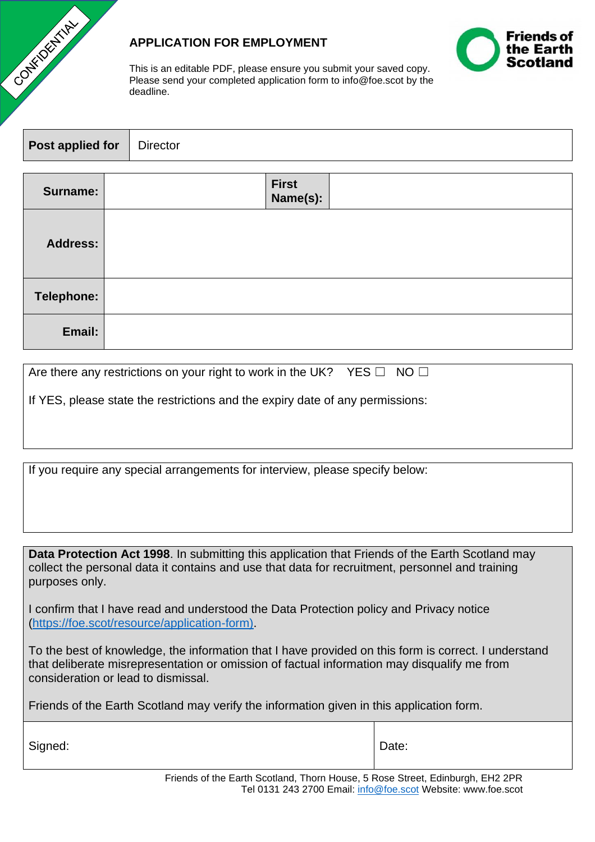

## **APPLICATION FOR EMPLOYMENT**



This is an editable PDF, please ensure you submit your saved copy. Please send your completed application form to info@foe.scot by the deadline.

| <b>Post applied for</b>   Director |                         |
|------------------------------------|-------------------------|
| Surname:                           | <b>First</b><br>Name(c) |

|                 | $\cdots$ |  |
|-----------------|----------|--|
| <b>Address:</b> |          |  |
| Telephone:      |          |  |
| Email:          |          |  |

|  |  | Are there any restrictions on your right to work in the UK? YES $\Box$ NO $\Box$ |  |  |
|--|--|----------------------------------------------------------------------------------|--|--|
|--|--|----------------------------------------------------------------------------------|--|--|

If YES, please state the restrictions and the expiry date of any permissions:

If you require any special arrangements for interview, please specify below:

**Data Protection Act 1998**. In submitting this application that Friends of the Earth Scotland may collect the personal data it contains and use that data for recruitment, personnel and training purposes only.

I confirm that I have read and understood the Data Protection policy and Privacy notice [\(https://foe.scot/resource/application-form\).](https://foe.scot/resource/application-form))

To the best of knowledge, the information that I have provided on this form is correct. I understand that deliberate misrepresentation or omission of factual information may disqualify me from consideration or lead to dismissal.

Friends of the Earth Scotland may verify the information given in this application form.

Signed:  $\qquad \qquad$  Date:

Friends of the Earth Scotland, Thorn House, 5 Rose Street, Edinburgh, EH2 2PR Tel 0131 243 2700 Email: [info@foe.scot](mailto:info@foe.scot) Website: www.foe.scot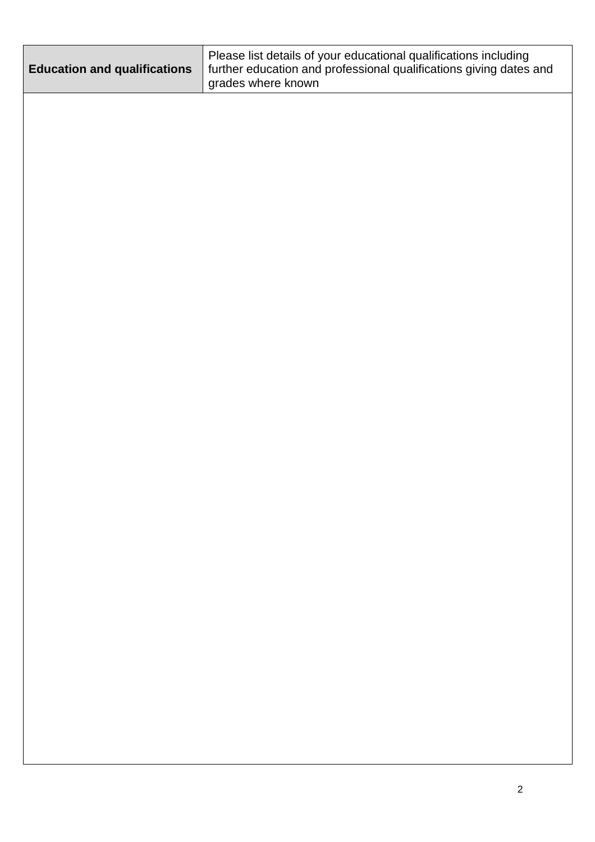| <b>Education and qualifications</b> | Please list details of your educational qualifications including<br>further education and professional qualifications giving dates and<br>grades where known |
|-------------------------------------|--------------------------------------------------------------------------------------------------------------------------------------------------------------|
|                                     |                                                                                                                                                              |
|                                     |                                                                                                                                                              |
|                                     |                                                                                                                                                              |
|                                     |                                                                                                                                                              |
|                                     |                                                                                                                                                              |
|                                     |                                                                                                                                                              |
|                                     |                                                                                                                                                              |
|                                     |                                                                                                                                                              |
|                                     |                                                                                                                                                              |
|                                     |                                                                                                                                                              |
|                                     |                                                                                                                                                              |
|                                     |                                                                                                                                                              |
|                                     |                                                                                                                                                              |
|                                     |                                                                                                                                                              |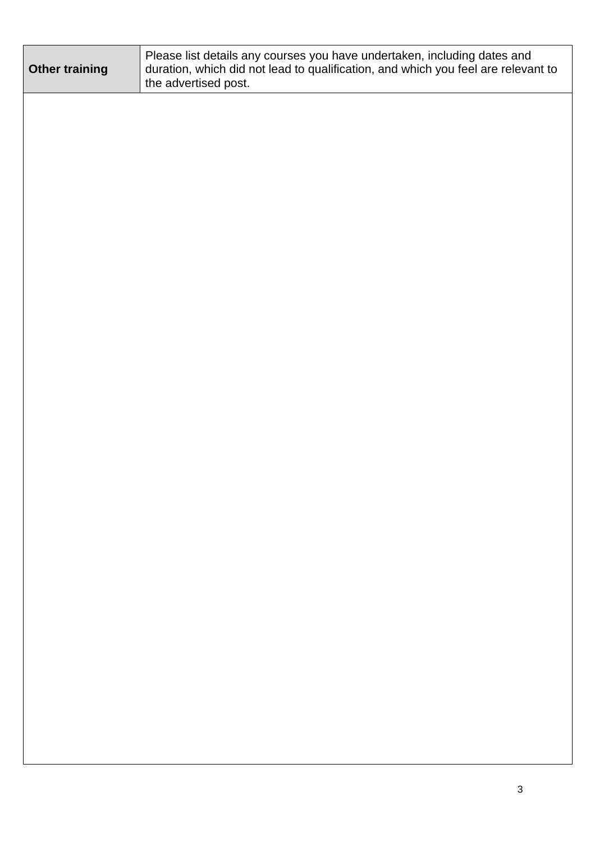| <b>Other training</b> | Please list details any courses you have undertaken, including dates and<br>duration, which did not lead to qualification, and which you feel are relevant to<br>the advertised post. |
|-----------------------|---------------------------------------------------------------------------------------------------------------------------------------------------------------------------------------|
|                       |                                                                                                                                                                                       |
|                       |                                                                                                                                                                                       |
|                       |                                                                                                                                                                                       |
|                       |                                                                                                                                                                                       |
|                       |                                                                                                                                                                                       |
|                       |                                                                                                                                                                                       |
|                       |                                                                                                                                                                                       |
|                       |                                                                                                                                                                                       |
|                       |                                                                                                                                                                                       |
|                       |                                                                                                                                                                                       |
|                       |                                                                                                                                                                                       |
|                       |                                                                                                                                                                                       |
|                       |                                                                                                                                                                                       |
|                       |                                                                                                                                                                                       |
|                       |                                                                                                                                                                                       |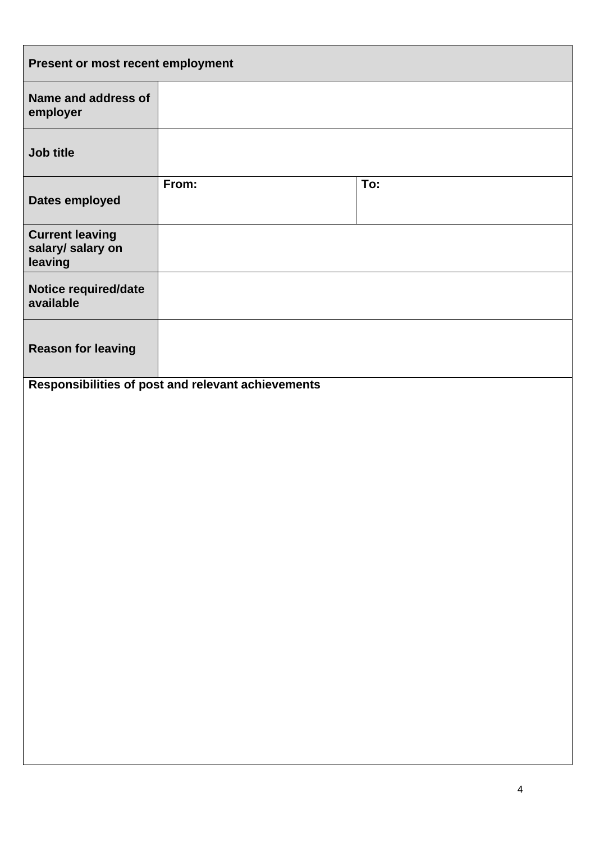| Present or most recent employment                      |                                                    |     |
|--------------------------------------------------------|----------------------------------------------------|-----|
| Name and address of<br>employer                        |                                                    |     |
| Job title                                              |                                                    |     |
| Dates employed                                         | From:                                              | To: |
| <b>Current leaving</b><br>salary/ salary on<br>leaving |                                                    |     |
| Notice required/date<br>available                      |                                                    |     |
| <b>Reason for leaving</b>                              |                                                    |     |
|                                                        | Responsibilities of post and relevant achievements |     |
|                                                        |                                                    |     |
|                                                        |                                                    |     |
|                                                        |                                                    |     |
|                                                        |                                                    |     |
|                                                        |                                                    |     |
|                                                        |                                                    |     |
|                                                        |                                                    |     |
|                                                        |                                                    |     |
|                                                        |                                                    |     |
|                                                        |                                                    |     |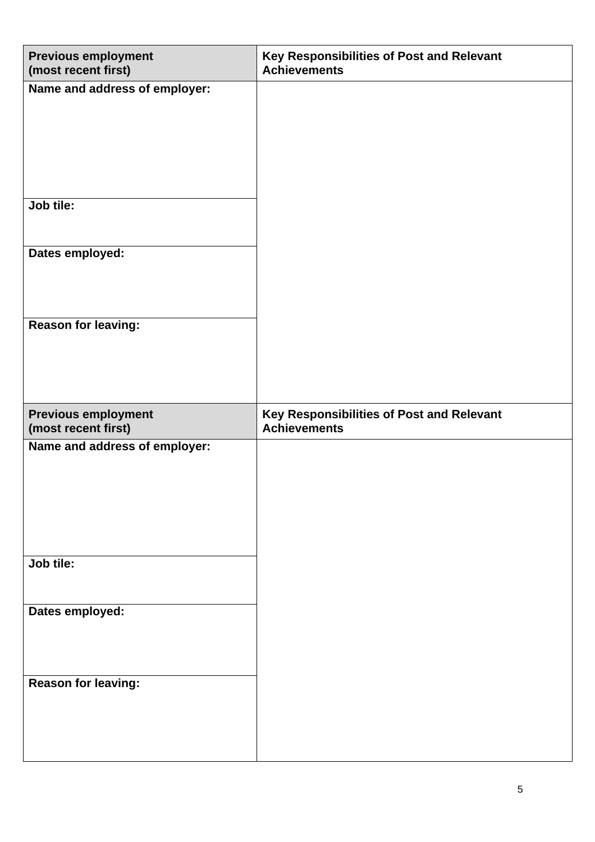| <b>Previous employment</b><br>(most recent first) | Key Responsibilities of Post and Relevant<br><b>Achievements</b> |
|---------------------------------------------------|------------------------------------------------------------------|
| Name and address of employer:                     |                                                                  |
| Job tile:                                         |                                                                  |
| Dates employed:                                   |                                                                  |
| <b>Reason for leaving:</b>                        |                                                                  |
|                                                   |                                                                  |
| <b>Previous employment</b><br>(most recent first) | Key Responsibilities of Post and Relevant<br><b>Achievements</b> |
| Name and address of employer:                     |                                                                  |
| Job tile:                                         |                                                                  |
| Dates employed:<br>Reason for leaving:            |                                                                  |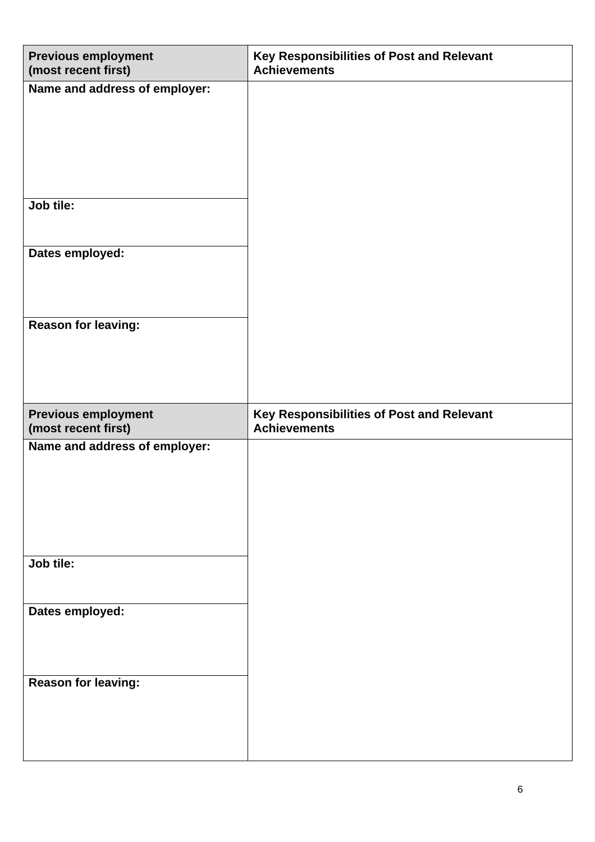| <b>Previous employment</b><br>(most recent first) | Key Responsibilities of Post and Relevant<br><b>Achievements</b> |
|---------------------------------------------------|------------------------------------------------------------------|
| Name and address of employer:                     |                                                                  |
| Job tile:                                         |                                                                  |
| Dates employed:                                   |                                                                  |
| <b>Reason for leaving:</b>                        |                                                                  |
|                                                   |                                                                  |
|                                                   |                                                                  |
| <b>Previous employment</b><br>(most recent first) | Key Responsibilities of Post and Relevant<br><b>Achievements</b> |
| Name and address of employer:                     |                                                                  |
| Job tile:                                         |                                                                  |
| Dates employed:                                   |                                                                  |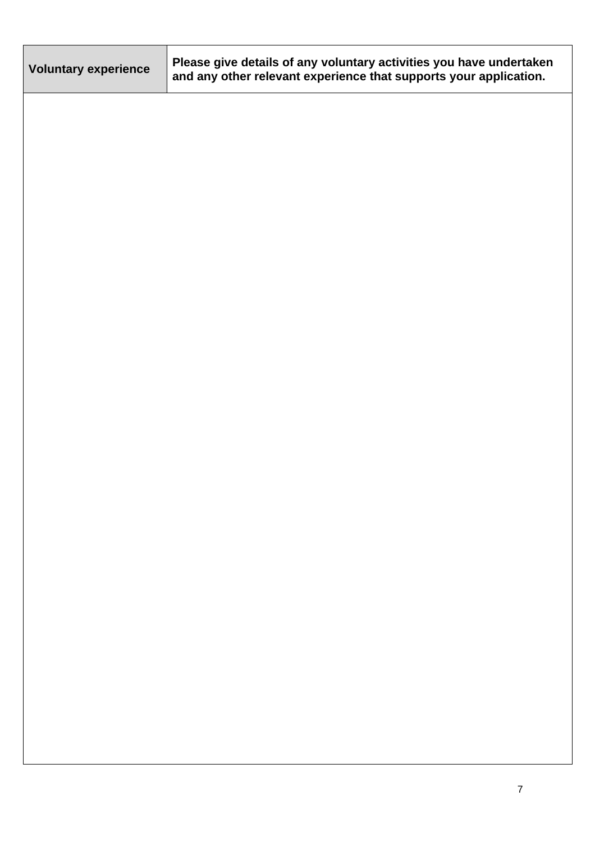| <b>Voluntary experience</b> | Please give details of any voluntary activities you have undertaken<br>and any other relevant experience that supports your application. |
|-----------------------------|------------------------------------------------------------------------------------------------------------------------------------------|
|                             |                                                                                                                                          |
|                             |                                                                                                                                          |
|                             |                                                                                                                                          |
|                             |                                                                                                                                          |
|                             |                                                                                                                                          |
|                             |                                                                                                                                          |
|                             |                                                                                                                                          |
|                             |                                                                                                                                          |
|                             |                                                                                                                                          |
|                             |                                                                                                                                          |
|                             |                                                                                                                                          |
|                             |                                                                                                                                          |
|                             |                                                                                                                                          |
|                             |                                                                                                                                          |
|                             |                                                                                                                                          |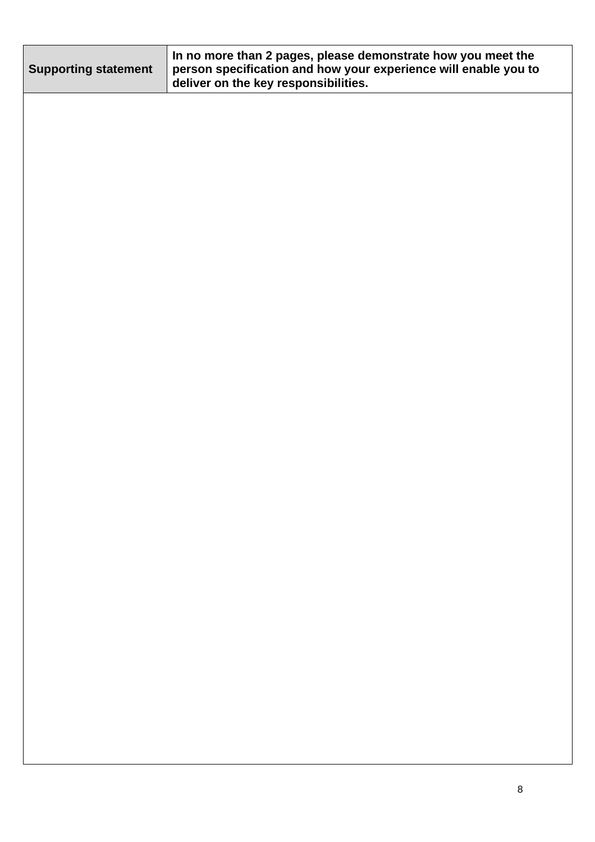| <b>Supporting statement</b> | In no more than 2 pages, please demonstrate how you meet the<br>person specification and how your experience will enable you to<br>deliver on the key responsibilities. |
|-----------------------------|-------------------------------------------------------------------------------------------------------------------------------------------------------------------------|
|                             |                                                                                                                                                                         |
|                             |                                                                                                                                                                         |
|                             |                                                                                                                                                                         |
|                             |                                                                                                                                                                         |
|                             |                                                                                                                                                                         |
|                             |                                                                                                                                                                         |
|                             |                                                                                                                                                                         |
|                             |                                                                                                                                                                         |
|                             |                                                                                                                                                                         |
|                             |                                                                                                                                                                         |
|                             |                                                                                                                                                                         |
|                             |                                                                                                                                                                         |
|                             |                                                                                                                                                                         |
|                             |                                                                                                                                                                         |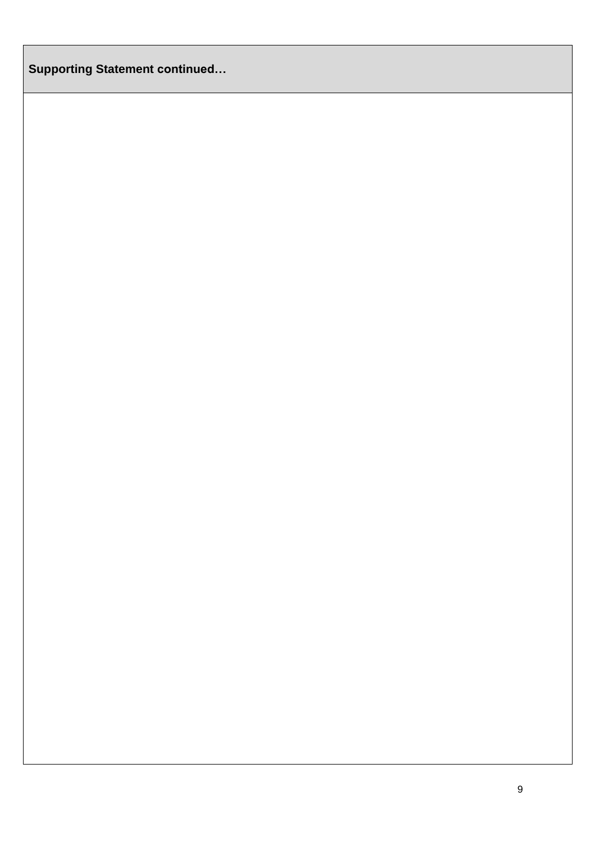**Supporting Statement continued…**